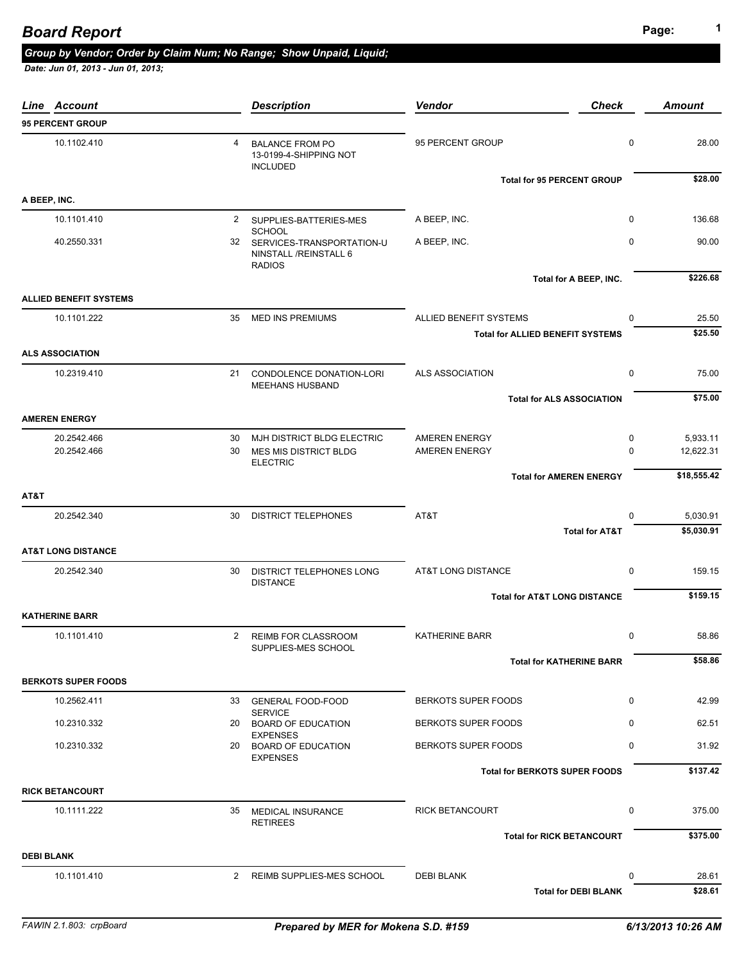## **Page: <sup>1</sup>** *Board Report*

#### *Group by Vendor; Order by Claim Num; No Range; Show Unpaid, Liquid;*

| Line Account                  |                | <b>Description</b>                                                                      | Vendor                                                            | <b>Check</b>                      | <b>Amount</b>         |
|-------------------------------|----------------|-----------------------------------------------------------------------------------------|-------------------------------------------------------------------|-----------------------------------|-----------------------|
| <b>95 PERCENT GROUP</b>       |                |                                                                                         |                                                                   |                                   |                       |
| 10.1102.410                   | 4              | <b>BALANCE FROM PO</b><br>13-0199-4-SHIPPING NOT<br><b>INCLUDED</b>                     | 95 PERCENT GROUP                                                  | $\mathbf 0$                       | 28.00                 |
|                               |                |                                                                                         |                                                                   | <b>Total for 95 PERCENT GROUP</b> | \$28.00               |
| A BEEP, INC.                  |                |                                                                                         |                                                                   |                                   |                       |
| 10.1101.410                   |                | 2 SUPPLIES-BATTERIES-MES                                                                | A BEEP, INC.                                                      | 0                                 | 136.68                |
| 40.2550.331                   |                | <b>SCHOOL</b><br>32 SERVICES-TRANSPORTATION-U<br>NINSTALL /REINSTALL 6<br><b>RADIOS</b> | A BEEP, INC.                                                      | $\mathbf 0$                       | 90.00                 |
| <b>ALLIED BENEFIT SYSTEMS</b> |                |                                                                                         |                                                                   | Total for A BEEP, INC.            | \$226.68              |
|                               |                |                                                                                         |                                                                   |                                   |                       |
| 10.1101.222                   | 35             | <b>MED INS PREMIUMS</b>                                                                 | ALLIED BENEFIT SYSTEMS<br><b>Total for ALLIED BENEFIT SYSTEMS</b> | 0                                 | 25.50<br>\$25.50      |
|                               |                |                                                                                         |                                                                   |                                   |                       |
| <b>ALS ASSOCIATION</b>        |                |                                                                                         |                                                                   |                                   |                       |
| 10.2319.410                   |                | 21 CONDOLENCE DONATION-LORI<br><b>MEEHANS HUSBAND</b>                                   | <b>ALS ASSOCIATION</b>                                            | 0                                 | 75.00                 |
|                               |                |                                                                                         |                                                                   | <b>Total for ALS ASSOCIATION</b>  | \$75.00               |
| <b>AMEREN ENERGY</b>          |                |                                                                                         |                                                                   |                                   |                       |
| 20.2542.466<br>20.2542.466    | 30<br>30       | MJH DISTRICT BLDG ELECTRIC<br>MES MIS DISTRICT BLDG<br><b>ELECTRIC</b>                  | <b>AMEREN ENERGY</b><br><b>AMEREN ENERGY</b>                      | 0<br>$\Omega$                     | 5,933.11<br>12,622.31 |
|                               |                |                                                                                         |                                                                   | <b>Total for AMEREN ENERGY</b>    | \$18,555.42           |
| AT&T                          |                |                                                                                         |                                                                   |                                   |                       |
| 20.2542.340                   | 30             | <b>DISTRICT TELEPHONES</b>                                                              | AT&T                                                              | $\Omega$                          | 5,030.91              |
|                               |                |                                                                                         |                                                                   | <b>Total for AT&amp;T</b>         | \$5,030.91            |
| <b>AT&amp;T LONG DISTANCE</b> |                |                                                                                         |                                                                   |                                   |                       |
| 20.2542.340                   | 30             | DISTRICT TELEPHONES LONG<br><b>DISTANCE</b>                                             | AT&T LONG DISTANCE                                                | 0                                 | 159.15                |
|                               |                |                                                                                         | <b>Total for AT&amp;T LONG DISTANCE</b>                           |                                   | \$159.15              |
| <b>KATHERINE BARR</b>         |                |                                                                                         |                                                                   |                                   |                       |
| 10.1101.410                   | $\overline{2}$ | REIMB FOR CLASSROOM<br>SUPPLIES-MES SCHOOL                                              | <b>KATHERINE BARR</b>                                             | 0                                 | 58.86                 |
|                               |                |                                                                                         |                                                                   | <b>Total for KATHERINE BARR</b>   | \$58.86               |
| <b>BERKOTS SUPER FOODS</b>    |                |                                                                                         |                                                                   |                                   |                       |
| 10.2562.411                   |                | 33 GENERAL FOOD-FOOD                                                                    | <b>BERKOTS SUPER FOODS</b>                                        | $\mathbf 0$                       | 42.99                 |
| 10.2310.332                   |                | <b>SERVICE</b><br>20 BOARD OF EDUCATION                                                 | <b>BERKOTS SUPER FOODS</b>                                        | $\mathbf 0$                       | 62.51                 |
| 10.2310.332                   |                | <b>EXPENSES</b><br>20 BOARD OF EDUCATION<br><b>EXPENSES</b>                             | <b>BERKOTS SUPER FOODS</b>                                        | 0                                 | 31.92                 |
|                               |                |                                                                                         | <b>Total for BERKOTS SUPER FOODS</b>                              |                                   | \$137.42              |
| <b>RICK BETANCOURT</b>        |                |                                                                                         |                                                                   |                                   |                       |
| 10.1111.222                   |                | 35 MEDICAL INSURANCE<br><b>RETIREES</b>                                                 | <b>RICK BETANCOURT</b>                                            | $\mathbf 0$                       | 375.00                |
|                               |                |                                                                                         |                                                                   | <b>Total for RICK BETANCOURT</b>  | \$375.00              |
| <b>DEBI BLANK</b>             |                |                                                                                         |                                                                   |                                   |                       |
| 10.1101.410                   |                | 2 REIMB SUPPLIES-MES SCHOOL                                                             | <b>DEBI BLANK</b>                                                 | 0                                 | 28.61                 |
|                               |                |                                                                                         |                                                                   | <b>Total for DEBI BLANK</b>       | \$28.61               |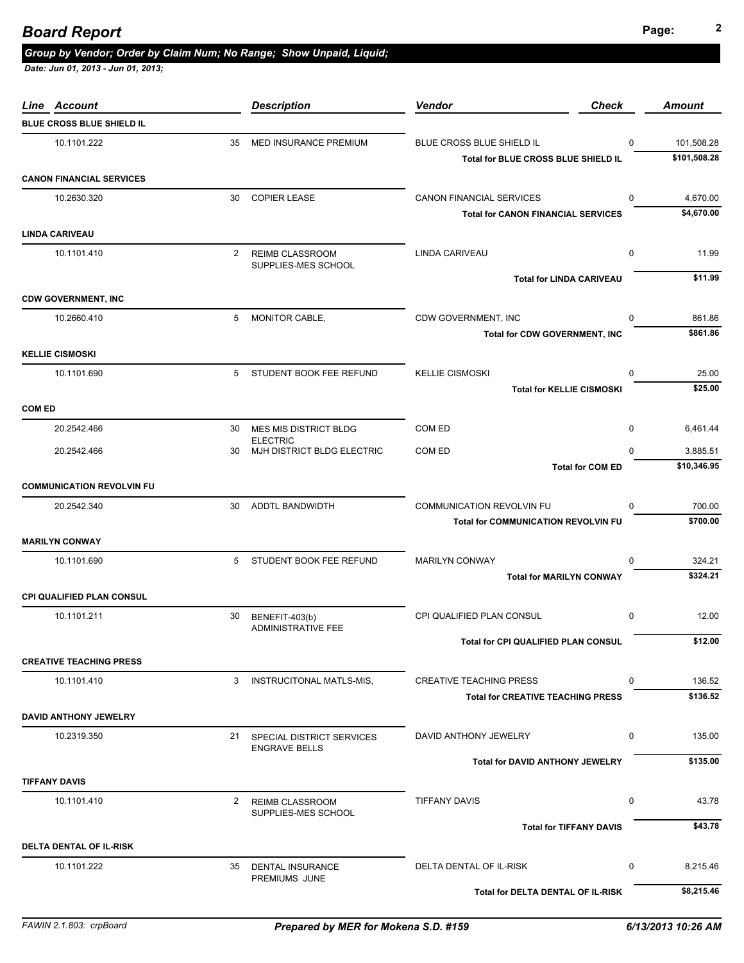| Line Account                     |    | <b>Description</b>                            | Vendor                                                                         | <b>Check</b> | <b>Amount</b>           |
|----------------------------------|----|-----------------------------------------------|--------------------------------------------------------------------------------|--------------|-------------------------|
| BLUE CROSS BLUE SHIELD IL        |    |                                               |                                                                                |              |                         |
| 10.1101.222                      | 35 | MED INSURANCE PREMIUM                         | BLUE CROSS BLUE SHIELD IL                                                      | $\Omega$     | 101,508.28              |
|                                  |    |                                               | Total for BLUE CROSS BLUE SHIELD IL                                            |              | \$101,508.28            |
| <b>CANON FINANCIAL SERVICES</b>  |    |                                               |                                                                                |              |                         |
| 10.2630.320                      |    | 30 COPIER LEASE                               | <b>CANON FINANCIAL SERVICES</b>                                                | 0            | 4,670.00                |
|                                  |    |                                               | <b>Total for CANON FINANCIAL SERVICES</b>                                      |              | \$4,670.00              |
| <b>LINDA CARIVEAU</b>            |    |                                               |                                                                                |              |                         |
| 10.1101.410                      | 2  | <b>REIMB CLASSROOM</b><br>SUPPLIES-MES SCHOOL | LINDA CARIVEAU                                                                 | 0            | 11.99                   |
| <b>CDW GOVERNMENT, INC</b>       |    |                                               | <b>Total for LINDA CARIVEAU</b>                                                |              | \$11.99                 |
| 10.2660.410                      | 5  | MONITOR CABLE,                                | CDW GOVERNMENT, INC                                                            | $\Omega$     | 861.86                  |
|                                  |    |                                               | <b>Total for CDW GOVERNMENT, INC</b>                                           |              | \$861.86                |
| <b>KELLIE CISMOSKI</b>           |    |                                               |                                                                                |              |                         |
| 10.1101.690                      | 5  | STUDENT BOOK FEE REFUND                       | <b>KELLIE CISMOSKI</b>                                                         | $\mathbf 0$  | 25.00                   |
|                                  |    |                                               | <b>Total for KELLIE CISMOSKI</b>                                               |              | \$25.00                 |
| <b>COM ED</b>                    |    |                                               |                                                                                |              |                         |
| 20.2542.466                      | 30 | MES MIS DISTRICT BLDG                         | COM ED                                                                         | $\mathbf 0$  | 6,461.44                |
|                                  |    | <b>ELECTRIC</b>                               |                                                                                | $\Omega$     |                         |
| 20.2542.466                      | 30 | MJH DISTRICT BLDG ELECTRIC                    | COM ED<br><b>Total for COM ED</b>                                              |              | 3,885.51<br>\$10,346.95 |
| <b>COMMUNICATION REVOLVIN FU</b> |    |                                               |                                                                                |              |                         |
|                                  |    |                                               |                                                                                |              |                         |
| 20.2542.340                      | 30 | ADDTL BANDWIDTH                               | <b>COMMUNICATION REVOLVIN FU</b><br><b>Total for COMMUNICATION REVOLVIN FU</b> | $\Omega$     | 700.00<br>\$700.00      |
| <b>MARILYN CONWAY</b>            |    |                                               |                                                                                |              |                         |
|                                  |    |                                               | <b>MARILYN CONWAY</b>                                                          | $\mathbf 0$  | 324.21                  |
| 10.1101.690                      |    | 5 STUDENT BOOK FEE REFUND                     | <b>Total for MARILYN CONWAY</b>                                                |              | \$324.21                |
| CPI QUALIFIED PLAN CONSUL        |    |                                               |                                                                                |              |                         |
| 10.1101.211                      |    |                                               |                                                                                | $\mathbf 0$  | 12.00                   |
|                                  | 30 | BENEFIT-403(b)<br><b>ADMINISTRATIVE FEE</b>   | CPI QUALIFIED PLAN CONSUL                                                      |              |                         |
|                                  |    |                                               | Total for CPI QUALIFIED PLAN CONSUL                                            |              | \$12.00                 |
| <b>CREATIVE TEACHING PRESS</b>   |    |                                               |                                                                                |              |                         |
| 10.1101.410                      | 3  | INSTRUCITONAL MATLS-MIS,                      | <b>CREATIVE TEACHING PRESS</b>                                                 | 0            | 136.52                  |
|                                  |    |                                               | <b>Total for CREATIVE TEACHING PRESS</b>                                       |              | \$136.52                |
| <b>DAVID ANTHONY JEWELRY</b>     |    |                                               |                                                                                |              |                         |
| 10.2319.350                      |    | 21 SPECIAL DISTRICT SERVICES                  | DAVID ANTHONY JEWELRY                                                          | 0            | 135.00                  |
|                                  |    | <b>ENGRAVE BELLS</b>                          | <b>Total for DAVID ANTHONY JEWELRY</b>                                         |              | \$135.00                |
| <b>TIFFANY DAVIS</b>             |    |                                               |                                                                                |              |                         |
| 10.1101.410                      |    | 2 REIMB CLASSROOM                             | <b>TIFFANY DAVIS</b>                                                           | 0            | 43.78                   |
|                                  |    | SUPPLIES-MES SCHOOL                           |                                                                                |              |                         |
|                                  |    |                                               | <b>Total for TIFFANY DAVIS</b>                                                 |              | \$43.78                 |
| DELTA DENTAL OF IL-RISK          |    |                                               |                                                                                |              |                         |
|                                  |    |                                               |                                                                                |              |                         |
| 10.1101.222                      |    | 35 DENTAL INSURANCE<br>PREMIUMS JUNE          | DELTA DENTAL OF IL-RISK                                                        | 0            | 8,215.46                |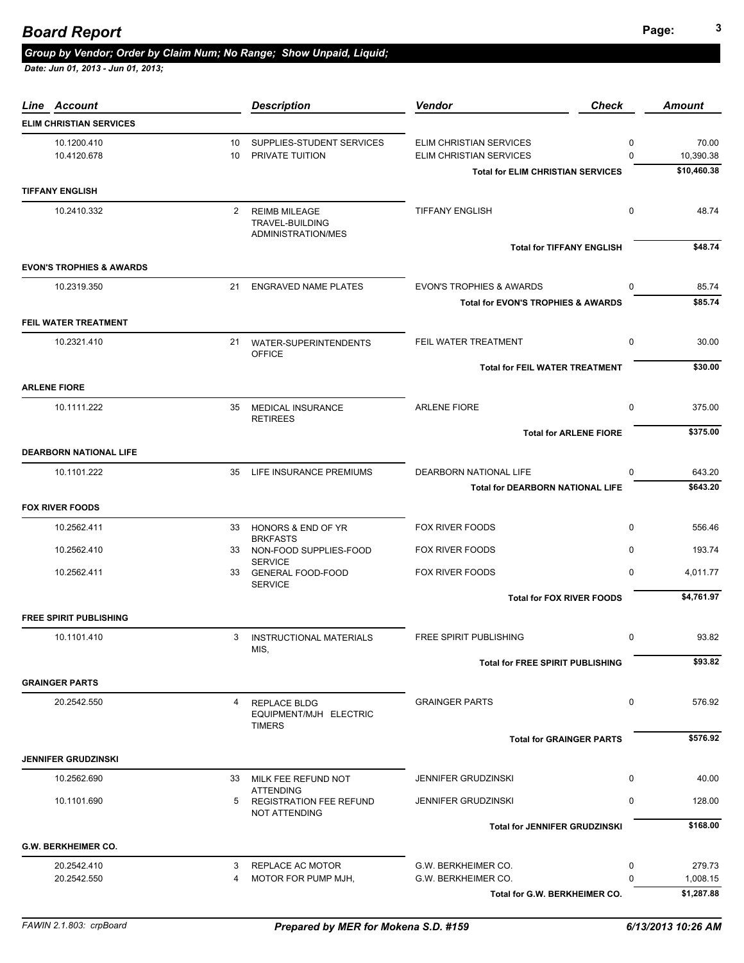# **Page: <sup>3</sup>** *Board Report*

#### *Group by Vendor; Order by Claim Num; No Range; Show Unpaid, Liquid;*

| Line Account                        |                 | <b>Description</b>                                             | <b>Vendor</b><br><b>Check</b>                 |              | <b>Amount</b> |
|-------------------------------------|-----------------|----------------------------------------------------------------|-----------------------------------------------|--------------|---------------|
| <b>ELIM CHRISTIAN SERVICES</b>      |                 |                                                                |                                               |              |               |
| 10.1200.410                         | 10              | SUPPLIES-STUDENT SERVICES                                      | ELIM CHRISTIAN SERVICES                       | 0            | 70.00         |
| 10.4120.678                         | 10 <sup>1</sup> | PRIVATE TUITION                                                | ELIM CHRISTIAN SERVICES                       | $\Omega$     | 10,390.38     |
|                                     |                 |                                                                | <b>Total for ELIM CHRISTIAN SERVICES</b>      |              | \$10,460.38   |
| <b>TIFFANY ENGLISH</b>              |                 |                                                                |                                               |              |               |
| 10.2410.332                         | $\mathbf{2}$    | <b>REIMB MILEAGE</b><br>TRAVEL-BUILDING<br>ADMINISTRATION/MES  | <b>TIFFANY ENGLISH</b>                        | $\mathbf 0$  | 48.74         |
|                                     |                 |                                                                | <b>Total for TIFFANY ENGLISH</b>              |              | \$48.74       |
| <b>EVON'S TROPHIES &amp; AWARDS</b> |                 |                                                                |                                               |              |               |
| 10.2319.350                         | 21              | <b>ENGRAVED NAME PLATES</b>                                    | <b>EVON'S TROPHIES &amp; AWARDS</b>           | $\mathbf{0}$ | 85.74         |
|                                     |                 |                                                                | <b>Total for EVON'S TROPHIES &amp; AWARDS</b> |              | \$85.74       |
| <b>FEIL WATER TREATMENT</b>         |                 |                                                                |                                               |              |               |
| 10.2321.410                         |                 | 21 WATER-SUPERINTENDENTS<br><b>OFFICE</b>                      | FEIL WATER TREATMENT                          | $\mathbf 0$  | 30.00         |
|                                     |                 |                                                                | <b>Total for FEIL WATER TREATMENT</b>         |              | \$30.00       |
| <b>ARLENE FIORE</b>                 |                 |                                                                |                                               |              |               |
| 10.1111.222                         | 35              | <b>MEDICAL INSURANCE</b><br><b>RETIREES</b>                    | <b>ARLENE FIORE</b>                           | $\mathbf 0$  | 375.00        |
|                                     |                 |                                                                | <b>Total for ARLENE FIORE</b>                 |              | \$375.00      |
| <b>DEARBORN NATIONAL LIFE</b>       |                 |                                                                |                                               |              |               |
| 10.1101.222                         | 35              | LIFE INSURANCE PREMIUMS                                        | DEARBORN NATIONAL LIFE                        | 0            | 643.20        |
|                                     |                 |                                                                | <b>Total for DEARBORN NATIONAL LIFE</b>       |              | \$643.20      |
| <b>FOX RIVER FOODS</b>              |                 |                                                                |                                               |              |               |
| 10.2562.411                         | 33              | HONORS & END OF YR                                             | FOX RIVER FOODS                               | $\mathbf 0$  | 556.46        |
| 10.2562.410                         | 33              | <b>BRKFASTS</b><br>NON-FOOD SUPPLIES-FOOD<br><b>SERVICE</b>    | FOX RIVER FOODS                               | $\mathbf{0}$ | 193.74        |
| 10.2562.411                         | 33              | <b>GENERAL FOOD-FOOD</b><br><b>SERVICE</b>                     | FOX RIVER FOODS                               | $\mathbf 0$  | 4,011.77      |
|                                     |                 |                                                                | <b>Total for FOX RIVER FOODS</b>              |              | \$4,761.97    |
| <b>FREE SPIRIT PUBLISHING</b>       |                 |                                                                |                                               |              |               |
| 10.1101.410                         | 3               | <b>INSTRUCTIONAL MATERIALS</b><br>MIS,                         | <b>FREE SPIRIT PUBLISHING</b>                 | $\mathbf 0$  | 93.82         |
|                                     |                 |                                                                | <b>Total for FREE SPIRIT PUBLISHING</b>       |              | \$93.82       |
| <b>GRAINGER PARTS</b>               |                 |                                                                |                                               |              |               |
| 20.2542.550                         | 4               | <b>REPLACE BLDG</b><br>EQUIPMENT/MJH ELECTRIC<br><b>TIMERS</b> | <b>GRAINGER PARTS</b>                         | $\mathbf 0$  | 576.92        |
|                                     |                 |                                                                | <b>Total for GRAINGER PARTS</b>               |              | \$576.92      |
| <b>JENNIFER GRUDZINSKI</b>          |                 |                                                                |                                               |              |               |
| 10.2562.690                         |                 | 33 MILK FEE REFUND NOT                                         | <b>JENNIFER GRUDZINSKI</b>                    | 0            | 40.00         |
| 10.1101.690                         | 5               | <b>ATTENDING</b><br><b>REGISTRATION FEE REFUND</b>             | <b>JENNIFER GRUDZINSKI</b>                    | $\mathbf 0$  | 128.00        |
|                                     |                 | <b>NOT ATTENDING</b>                                           | <b>Total for JENNIFER GRUDZINSKI</b>          |              | \$168.00      |
| <b>G.W. BERKHEIMER CO.</b>          |                 |                                                                |                                               |              |               |
| 20.2542.410                         | 3               | REPLACE AC MOTOR                                               | G.W. BERKHEIMER CO.                           | 0            | 279.73        |
| 20.2542.550                         | 4               | MOTOR FOR PUMP MJH,                                            | G.W. BERKHEIMER CO.                           | $\Omega$     | 1,008.15      |
|                                     |                 |                                                                | Total for G.W. BERKHEIMER CO.                 |              | \$1,287.88    |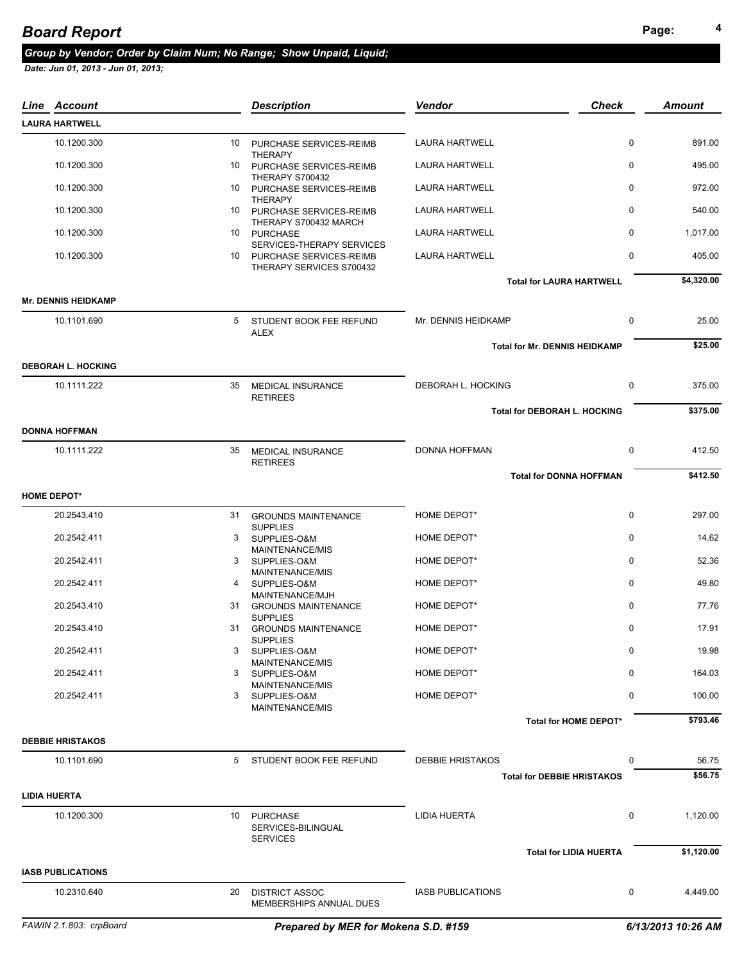#### **Page: <sup>4</sup>** *Board Report*

#### *Group by Vendor; Order by Claim Num; No Range; Show Unpaid, Liquid;*

| Line Account               |    | <b>Description</b>                                       | Vendor                   | <b>Check</b>                         | <b>Amount</b> |
|----------------------------|----|----------------------------------------------------------|--------------------------|--------------------------------------|---------------|
| <b>LAURA HARTWELL</b>      |    |                                                          |                          |                                      |               |
| 10.1200.300                | 10 | PURCHASE SERVICES-REIMB                                  | <b>LAURA HARTWELL</b>    | $\mathbf 0$                          | 891.00        |
| 10.1200.300                | 10 | <b>THERAPY</b><br>PURCHASE SERVICES-REIMB                | <b>LAURA HARTWELL</b>    | $\Omega$                             | 495.00        |
| 10.1200.300                |    | THERAPY S700432<br>10 PURCHASE SERVICES-REIMB            | <b>LAURA HARTWELL</b>    | $\Omega$                             | 972.00        |
| 10.1200.300                | 10 | <b>THERAPY</b><br>PURCHASE SERVICES-REIMB                | <b>LAURA HARTWELL</b>    | 0                                    | 540.00        |
| 10.1200.300                |    | THERAPY S700432 MARCH<br>10 PURCHASE                     | <b>LAURA HARTWELL</b>    | 0                                    | 1,017.00      |
| 10.1200.300                | 10 | SERVICES-THERAPY SERVICES<br>PURCHASE SERVICES-REIMB     | <b>LAURA HARTWELL</b>    | 0                                    | 405.00        |
|                            |    | THERAPY SERVICES S700432                                 |                          |                                      |               |
| <b>Mr. DENNIS HEIDKAMP</b> |    |                                                          |                          | <b>Total for LAURA HARTWELL</b>      | \$4,320.00    |
| 10.1101.690                | 5  |                                                          | Mr. DENNIS HEIDKAMP      | $\mathbf 0$                          | 25.00         |
|                            |    | STUDENT BOOK FEE REFUND<br>ALEX                          |                          |                                      |               |
|                            |    |                                                          |                          | <b>Total for Mr. DENNIS HEIDKAMP</b> | \$25.00       |
| <b>DEBORAH L. HOCKING</b>  |    |                                                          |                          |                                      |               |
| 10.1111.222                | 35 | <b>MEDICAL INSURANCE</b><br><b>RETIREES</b>              | DEBORAH L. HOCKING       | $\mathbf 0$                          | 375.00        |
|                            |    |                                                          |                          | <b>Total for DEBORAH L. HOCKING</b>  | \$375.00      |
| <b>DONNA HOFFMAN</b>       |    |                                                          |                          |                                      |               |
| 10.1111.222                | 35 | <b>MEDICAL INSURANCE</b><br><b>RETIREES</b>              | DONNA HOFFMAN            | $\mathbf 0$                          | 412.50        |
|                            |    |                                                          |                          | <b>Total for DONNA HOFFMAN</b>       | \$412.50      |
| <b>HOME DEPOT*</b>         |    |                                                          |                          |                                      |               |
| 20.2543.410                | 31 | <b>GROUNDS MAINTENANCE</b>                               | HOME DEPOT*              | $\mathbf 0$                          | 297.00        |
| 20.2542.411                | 3  | <b>SUPPLIES</b><br>SUPPLIES-O&M                          | HOME DEPOT*              | $\mathbf 0$                          | 14.62         |
| 20.2542.411                | 3  | MAINTENANCE/MIS<br>SUPPLIES-O&M                          | HOME DEPOT*              | $\mathbf 0$                          | 52.36         |
| 20.2542.411                | 4  | MAINTENANCE/MIS<br>SUPPLIES-O&M                          | HOME DEPOT*              | 0                                    | 49.80         |
| 20.2543.410                |    | MAINTENANCE/MJH<br>31 GROUNDS MAINTENANCE                | HOME DEPOT*              | 0                                    | 77.76         |
| 20.2543.410                | 31 | <b>SUPPLIES</b><br><b>GROUNDS MAINTENANCE</b>            | HOME DEPOT*              | $\mathbf 0$                          | 17.91         |
| 20.2542.411                | 3  | <b>SUPPLIES</b><br>SUPPLIES-O&M                          | HOME DEPOT*              | $\pmb{0}$                            | 19.98         |
|                            |    | MAINTENANCE/MIS                                          |                          |                                      |               |
| 20.2542.411                | 3  | SUPPLIES-O&M<br>MAINTENANCE/MIS                          | HOME DEPOT*              | 0                                    | 164.03        |
| 20.2542.411                | 3  | SUPPLIES-O&M<br>MAINTENANCE/MIS                          | HOME DEPOT*              | 0                                    | 100.00        |
|                            |    |                                                          |                          | Total for HOME DEPOT*                | \$793.46      |
| <b>DEBBIE HRISTAKOS</b>    |    |                                                          |                          |                                      |               |
| 10.1101.690                |    | 5 STUDENT BOOK FEE REFUND                                | <b>DEBBIE HRISTAKOS</b>  | 0                                    | 56.75         |
|                            |    |                                                          |                          | <b>Total for DEBBIE HRISTAKOS</b>    | \$56.75       |
| <b>LIDIA HUERTA</b>        |    |                                                          |                          |                                      |               |
| 10.1200.300                | 10 | <b>PURCHASE</b><br>SERVICES-BILINGUAL<br><b>SERVICES</b> | <b>LIDIA HUERTA</b>      | 0                                    | 1,120.00      |
|                            |    |                                                          |                          | <b>Total for LIDIA HUERTA</b>        | \$1,120.00    |
| <b>IASB PUBLICATIONS</b>   |    |                                                          |                          |                                      |               |
| 10.2310.640                | 20 | <b>DISTRICT ASSOC</b><br>MEMBERSHIPS ANNUAL DUES         | <b>IASB PUBLICATIONS</b> | 0                                    | 4,449.00      |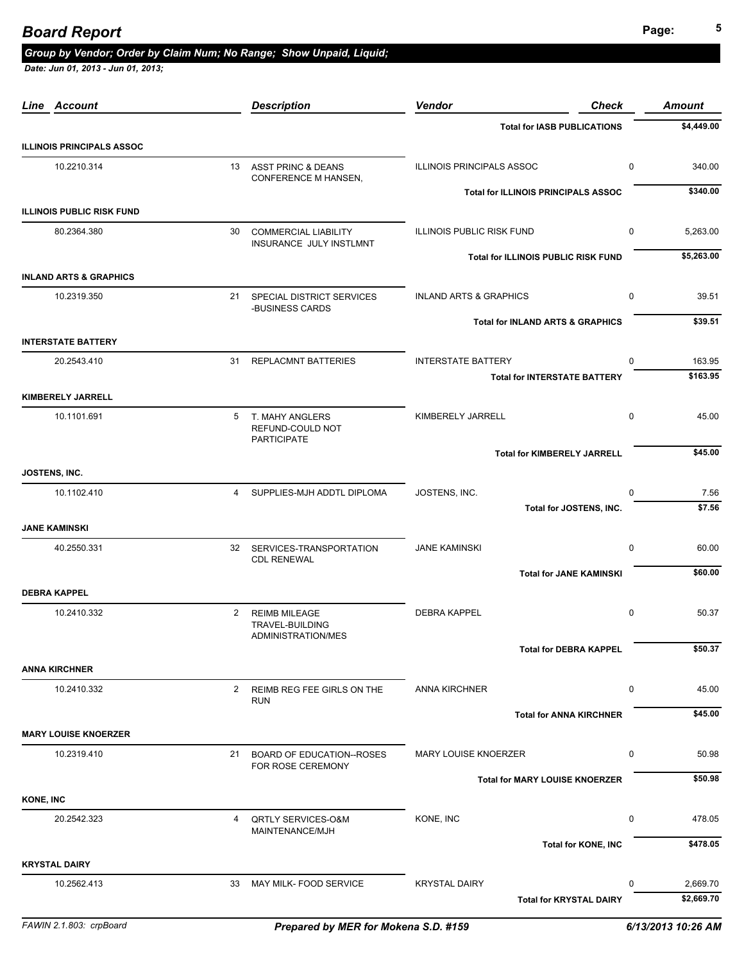| Line Account                      |                | <b>Description</b>                                            | <b>Vendor</b><br><b>Check</b>                               | <b>Amount</b>          |
|-----------------------------------|----------------|---------------------------------------------------------------|-------------------------------------------------------------|------------------------|
|                                   |                |                                                               | <b>Total for IASB PUBLICATIONS</b>                          | \$4,449.00             |
| <b>ILLINOIS PRINCIPALS ASSOC</b>  |                |                                                               |                                                             |                        |
| 10.2210.314                       |                | 13 ASST PRINC & DEANS<br>CONFERENCE M HANSEN,                 | <b>ILLINOIS PRINCIPALS ASSOC</b><br>$\mathbf 0$             | 340.00                 |
|                                   |                |                                                               | <b>Total for ILLINOIS PRINCIPALS ASSOC</b>                  | \$340.00               |
| <b>ILLINOIS PUBLIC RISK FUND</b>  |                |                                                               |                                                             |                        |
| 80.2364.380                       | 30             | <b>COMMERCIAL LIABILITY</b><br>INSURANCE JULY INSTLMNT        | $\mathbf 0$<br><b>ILLINOIS PUBLIC RISK FUND</b>             | 5,263.00               |
|                                   |                |                                                               | Total for ILLINOIS PUBLIC RISK FUND                         | \$5,263.00             |
| <b>INLAND ARTS &amp; GRAPHICS</b> |                |                                                               |                                                             |                        |
| 10.2319.350                       |                | 21 SPECIAL DISTRICT SERVICES<br>-BUSINESS CARDS               | $\mathbf 0$<br><b>INLAND ARTS &amp; GRAPHICS</b>            | 39.51                  |
|                                   |                |                                                               | <b>Total for INLAND ARTS &amp; GRAPHICS</b>                 | \$39.51                |
| <b>INTERSTATE BATTERY</b>         |                |                                                               |                                                             |                        |
| 20.2543.410                       | 31             | <b>REPLACMNT BATTERIES</b>                                    | <b>INTERSTATE BATTERY</b><br>$\Omega$                       | 163.95                 |
|                                   |                |                                                               | <b>Total for INTERSTATE BATTERY</b>                         | \$163.95               |
| <b>KIMBERELY JARRELL</b>          |                |                                                               |                                                             |                        |
| 10.1101.691                       | 5              | T. MAHY ANGLERS<br>REFUND-COULD NOT<br><b>PARTICIPATE</b>     | KIMBERELY JARRELL<br>$\mathbf 0$                            | 45.00                  |
|                                   |                |                                                               | <b>Total for KIMBERELY JARRELL</b>                          | \$45.00                |
| JOSTENS, INC.                     |                |                                                               |                                                             |                        |
| 10.1102.410                       | $\overline{4}$ | SUPPLIES-MJH ADDTL DIPLOMA                                    | JOSTENS, INC.<br>$\mathbf 0$                                | 7.56                   |
|                                   |                |                                                               | Total for JOSTENS, INC.                                     | \$7.56                 |
| <b>JANE KAMINSKI</b>              |                |                                                               |                                                             |                        |
| 40.2550.331                       | 32             | SERVICES-TRANSPORTATION<br><b>CDL RENEWAL</b>                 | <b>JANE KAMINSKI</b><br>0                                   | 60.00                  |
|                                   |                |                                                               | <b>Total for JANE KAMINSKI</b>                              | \$60.00                |
| <b>DEBRA KAPPEL</b>               |                |                                                               |                                                             |                        |
| 10.2410.332                       | $\overline{2}$ | <b>REIMB MILEAGE</b><br>TRAVEL-BUILDING<br>ADMINISTRATION/MES | <b>DEBRA KAPPEL</b><br>$\mathbf 0$                          | 50.37                  |
|                                   |                |                                                               | <b>Total for DEBRA KAPPEL</b>                               | \$50.37                |
| <b>ANNA KIRCHNER</b>              |                |                                                               |                                                             |                        |
| 10.2410.332                       | 2              | REIMB REG FEE GIRLS ON THE<br><b>RUN</b>                      | <b>ANNA KIRCHNER</b><br>0                                   | 45.00                  |
|                                   |                |                                                               | <b>Total for ANNA KIRCHNER</b>                              | \$45.00                |
| <b>MARY LOUISE KNOERZER</b>       |                |                                                               |                                                             |                        |
| 10.2319.410                       | 21             | <b>BOARD OF EDUCATION--ROSES</b><br>FOR ROSE CEREMONY         | <b>MARY LOUISE KNOERZER</b><br>0                            | 50.98                  |
|                                   |                |                                                               | <b>Total for MARY LOUISE KNOERZER</b>                       | \$50.98                |
| <b>KONE, INC</b>                  |                |                                                               |                                                             |                        |
| 20.2542.323                       | 4              | <b>QRTLY SERVICES-O&amp;M</b><br>MAINTENANCE/MJH              | KONE, INC<br>0                                              | 478.05                 |
|                                   |                |                                                               | <b>Total for KONE, INC</b>                                  | \$478.05               |
| <b>KRYSTAL DAIRY</b>              |                |                                                               |                                                             |                        |
| 10.2562.413                       | 33             | MAY MILK- FOOD SERVICE                                        | <b>KRYSTAL DAIRY</b><br>0<br><b>Total for KRYSTAL DAIRY</b> | 2,669.70<br>\$2,669.70 |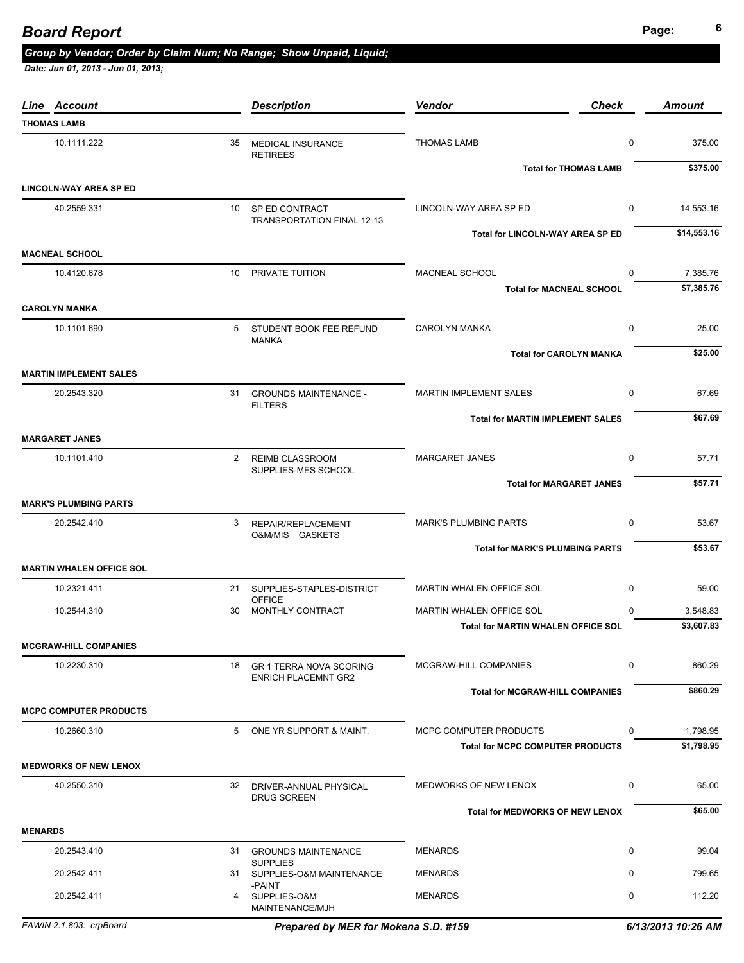## **Page: <sup>6</sup>** *Board Report*

### *Group by Vendor; Order by Claim Num; No Range; Show Unpaid, Liquid;*

 *Date: Jun 01, 2013 - Jun 01, 2013;* 

| Line Account                    |    | <b>Description</b>                              | <b>Vendor</b>                             | <b>Check</b> | <b>Amount</b> |
|---------------------------------|----|-------------------------------------------------|-------------------------------------------|--------------|---------------|
| <b>THOMAS LAMB</b>              |    |                                                 |                                           |              |               |
| 10.1111.222                     | 35 | <b>MEDICAL INSURANCE</b><br><b>RETIREES</b>     | <b>THOMAS LAMB</b>                        | $\mathbf 0$  | 375.00        |
|                                 |    |                                                 | <b>Total for THOMAS LAMB</b>              |              | \$375.00      |
| <b>LINCOLN-WAY AREA SP ED</b>   |    |                                                 |                                           |              |               |
| 40.2559.331                     |    | 10 SP ED CONTRACT<br>TRANSPORTATION FINAL 12-13 | LINCOLN-WAY AREA SP ED                    | $\mathbf 0$  | 14,553.16     |
|                                 |    |                                                 | Total for LINCOLN-WAY AREA SP ED          |              | \$14,553.16   |
| <b>MACNEAL SCHOOL</b>           |    |                                                 |                                           |              |               |
| 10.4120.678                     |    | 10 PRIVATE TUITION                              | MACNEAL SCHOOL                            | $\Omega$     | 7,385.76      |
| <b>CAROLYN MANKA</b>            |    |                                                 | <b>Total for MACNEAL SCHOOL</b>           |              | \$7,385.76    |
|                                 |    |                                                 |                                           |              |               |
| 10.1101.690                     | 5  | STUDENT BOOK FEE REFUND<br><b>MANKA</b>         | <b>CAROLYN MANKA</b>                      | $\mathbf 0$  | 25.00         |
|                                 |    |                                                 | <b>Total for CAROLYN MANKA</b>            |              | \$25.00       |
| <b>MARTIN IMPLEMENT SALES</b>   |    |                                                 |                                           |              |               |
| 20.2543.320                     |    | 31 GROUNDS MAINTENANCE -<br><b>FILTERS</b>      | <b>MARTIN IMPLEMENT SALES</b>             | $\mathbf 0$  | 67.69         |
|                                 |    |                                                 | <b>Total for MARTIN IMPLEMENT SALES</b>   |              | \$67.69       |
| <b>MARGARET JANES</b>           |    |                                                 |                                           |              |               |
| 10.1101.410                     |    | 2 REIMB CLASSROOM<br>SUPPLIES-MES SCHOOL        | <b>MARGARET JANES</b>                     | $\mathbf 0$  | 57.71         |
|                                 |    |                                                 | <b>Total for MARGARET JANES</b>           |              | \$57.71       |
| <b>MARK'S PLUMBING PARTS</b>    |    |                                                 |                                           |              |               |
| 20.2542.410                     | 3  | REPAIR/REPLACEMENT<br>O&M/MIS GASKETS           | <b>MARK'S PLUMBING PARTS</b>              | $\mathbf 0$  | 53.67         |
|                                 |    |                                                 | <b>Total for MARK'S PLUMBING PARTS</b>    |              | \$53.67       |
| <b>MARTIN WHALEN OFFICE SOL</b> |    |                                                 |                                           |              |               |
| 10.2321.411                     |    | 21 SUPPLIES-STAPLES-DISTRICT<br><b>OFFICE</b>   | MARTIN WHALEN OFFICE SOL                  | $\mathbf 0$  | 59.00         |
| 10.2544.310                     | 30 | MONTHLY CONTRACT                                | MARTIN WHALEN OFFICE SOL                  | $\Omega$     | 3,548.83      |
|                                 |    |                                                 | <b>Total for MARTIN WHALEN OFFICE SOL</b> |              | \$3,607.83    |
| <b>MCGRAW-HILL COMPANIES</b>    |    |                                                 |                                           |              |               |
| 10.2230.310                     | 18 | <b>GR 1 TERRA NOVA SCORING</b>                  | MCGRAW-HILL COMPANIES                     | 0            | 860.29        |
|                                 |    | <b>ENRICH PLACEMNT GR2</b>                      | <b>Total for MCGRAW-HILL COMPANIES</b>    |              | \$860.29      |
| <b>MCPC COMPUTER PRODUCTS</b>   |    |                                                 |                                           |              |               |
| 10.2660.310                     | 5  | ONE YR SUPPORT & MAINT,                         | MCPC COMPUTER PRODUCTS                    | 0            | 1,798.95      |
|                                 |    |                                                 | <b>Total for MCPC COMPUTER PRODUCTS</b>   |              | \$1,798.95    |
| <b>MEDWORKS OF NEW LENOX</b>    |    |                                                 |                                           |              |               |
| 40.2550.310                     |    | 32 DRIVER-ANNUAL PHYSICAL                       | MEDWORKS OF NEW LENOX                     | 0            | 65.00         |
|                                 |    | <b>DRUG SCREEN</b>                              |                                           |              |               |
|                                 |    |                                                 | <b>Total for MEDWORKS OF NEW LENOX</b>    |              | \$65.00       |
| <b>MENARDS</b>                  |    |                                                 |                                           |              |               |
| 20.2543.410                     |    | 31 GROUNDS MAINTENANCE<br><b>SUPPLIES</b>       | <b>MENARDS</b>                            | $\mathbf 0$  | 99.04         |
| 20.2542.411                     |    | 31 SUPPLIES-O&M MAINTENANCE                     | <b>MENARDS</b>                            | 0            | 799.65        |
| 20.2542.411                     | 4  | -PAINT<br>SUPPLIES-O&M<br>MAINTENANCE/MJH       | <b>MENARDS</b>                            | 0            | 112.20        |

*FAWIN 2.1.803: crpBoard Prepared by MER for Mokena S.D. #159 6/13/2013 10:26 AM*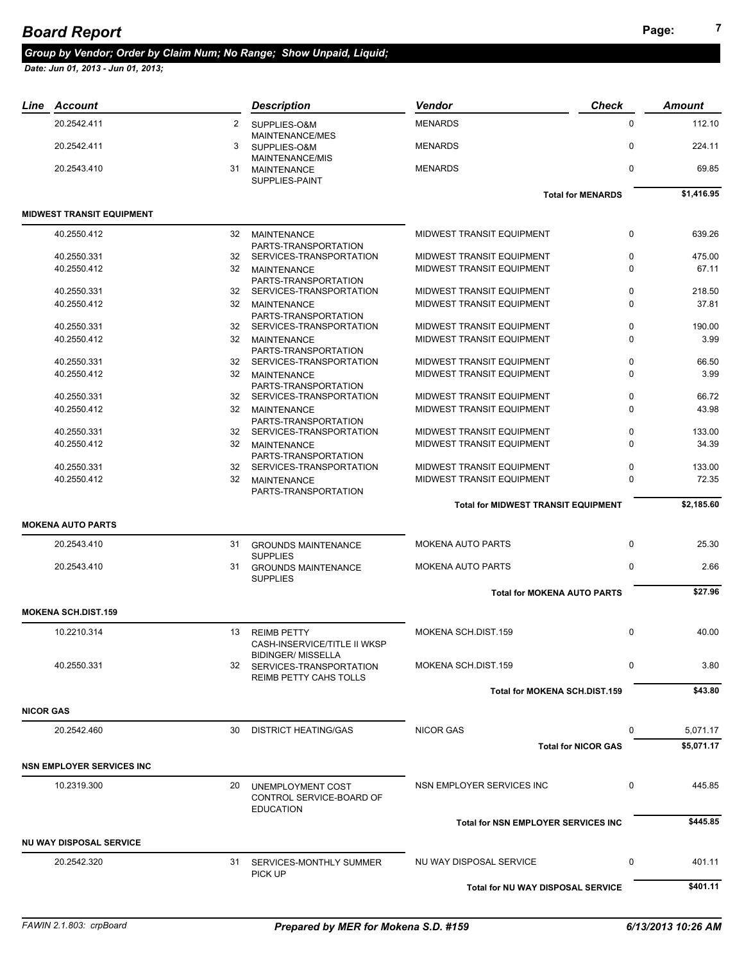# **Page: <sup>7</sup>** *Board Report*

#### *Group by Vendor; Order by Claim Num; No Range; Show Unpaid, Liquid;*

|                  | Line Account                      |    | <b>Description</b>                                                              | Vendor                                     | <b>Check</b>               | <b>Amount</b> |
|------------------|-----------------------------------|----|---------------------------------------------------------------------------------|--------------------------------------------|----------------------------|---------------|
|                  | 20.2542.411                       | 2  | SUPPLIES-O&M                                                                    | <b>MENARDS</b>                             | $\mathbf 0$                | 112.10        |
|                  | 20.2542.411                       | 3  | MAINTENANCE/MES<br>SUPPLIES-O&M                                                 | <b>MENARDS</b>                             | $\mathbf 0$                | 224.11        |
|                  | 20.2543.410                       | 31 | <b>MAINTENANCE/MIS</b><br>MAINTENANCE<br>SUPPLIES-PAINT                         | <b>MENARDS</b>                             | $\mathbf 0$                | 69.85         |
|                  |                                   |    |                                                                                 |                                            | <b>Total for MENARDS</b>   | \$1,416.95    |
|                  | <b>MIDWEST TRANSIT EQUIPMENT</b>  |    |                                                                                 |                                            |                            |               |
|                  | 40.2550.412                       |    | 32 MAINTENANCE<br>PARTS-TRANSPORTATION                                          | MIDWEST TRANSIT EQUIPMENT                  | $\mathbf 0$                | 639.26        |
|                  | 40.2550.331                       | 32 | SERVICES-TRANSPORTATION                                                         | <b>MIDWEST TRANSIT EQUIPMENT</b>           | 0                          | 475.00        |
|                  | 40.2550.412                       |    | 32 MAINTENANCE<br>PARTS-TRANSPORTATION                                          | MIDWEST TRANSIT EQUIPMENT                  | 0                          | 67.11         |
|                  | 40.2550.331                       | 32 | SERVICES-TRANSPORTATION                                                         | MIDWEST TRANSIT EQUIPMENT                  | 0                          | 218.50        |
|                  | 40.2550.412                       | 32 | <b>MAINTENANCE</b><br>PARTS-TRANSPORTATION                                      | MIDWEST TRANSIT EQUIPMENT                  | 0                          | 37.81         |
|                  | 40.2550.331                       |    | 32 SERVICES-TRANSPORTATION                                                      | MIDWEST TRANSIT EQUIPMENT                  | $\mathbf 0$                | 190.00        |
|                  | 40.2550.412                       |    | 32 MAINTENANCE<br>PARTS-TRANSPORTATION                                          | MIDWEST TRANSIT EQUIPMENT                  | 0                          | 3.99          |
|                  | 40.2550.331                       |    | 32 SERVICES-TRANSPORTATION                                                      | MIDWEST TRANSIT EQUIPMENT                  | $\mathbf 0$                | 66.50         |
|                  | 40.2550.412                       | 32 | <b>MAINTENANCE</b><br>PARTS-TRANSPORTATION                                      | MIDWEST TRANSIT EQUIPMENT                  | 0                          | 3.99          |
|                  | 40.2550.331                       |    | 32 SERVICES-TRANSPORTATION                                                      | MIDWEST TRANSIT EQUIPMENT                  | 0                          | 66.72         |
|                  | 40.2550.412                       |    | 32 MAINTENANCE<br>PARTS-TRANSPORTATION                                          | MIDWEST TRANSIT EQUIPMENT                  | $\Omega$                   | 43.98         |
|                  | 40.2550.331                       |    | 32 SERVICES-TRANSPORTATION                                                      | MIDWEST TRANSIT EQUIPMENT                  | 0                          | 133.00        |
|                  | 40.2550.412                       | 32 | <b>MAINTENANCE</b><br>PARTS-TRANSPORTATION                                      | MIDWEST TRANSIT EQUIPMENT                  | 0                          | 34.39         |
|                  | 40.2550.331                       | 32 | SERVICES-TRANSPORTATION                                                         | MIDWEST TRANSIT EQUIPMENT                  | $\mathbf 0$                | 133.00        |
|                  | 40.2550.412                       | 32 | MAINTENANCE<br>PARTS-TRANSPORTATION                                             | MIDWEST TRANSIT EQUIPMENT                  | 0                          | 72.35         |
|                  |                                   |    |                                                                                 | <b>Total for MIDWEST TRANSIT EQUIPMENT</b> |                            | \$2,185.60    |
|                  | <b>MOKENA AUTO PARTS</b>          |    |                                                                                 |                                            |                            |               |
|                  | 20.2543.410                       | 31 | <b>GROUNDS MAINTENANCE</b><br><b>SUPPLIES</b>                                   | <b>MOKENA AUTO PARTS</b>                   | $\mathbf 0$                | 25.30         |
|                  | 20.2543.410                       | 31 | <b>GROUNDS MAINTENANCE</b><br><b>SUPPLIES</b>                                   | <b>MOKENA AUTO PARTS</b>                   | 0                          | 2.66          |
|                  |                                   |    |                                                                                 | <b>Total for MOKENA AUTO PARTS</b>         |                            | \$27.96       |
|                  | <b>MOKENA SCH.DIST.159</b>        |    |                                                                                 |                                            |                            |               |
|                  | 10.2210.314                       | 13 | <b>REIMB PETTY</b><br>CASH-INSERVICE/TITLE II WKSP<br><b>BIDINGER/ MISSELLA</b> | MOKENA SCH.DIST.159                        | $\mathbf 0$                | 40.00         |
|                  | 40.2550.331                       |    | 32 SERVICES-TRANSPORTATION<br><b>REIMB PETTY CAHS TOLLS</b>                     | MOKENA SCH.DIST.159                        | $\mathbf 0$                | 3.80          |
|                  |                                   |    |                                                                                 | Total for MOKENA SCH.DIST.159              |                            | \$43.80       |
| <b>NICOR GAS</b> |                                   |    |                                                                                 |                                            |                            |               |
|                  | 20.2542.460                       | 30 | <b>DISTRICT HEATING/GAS</b>                                                     | <b>NICOR GAS</b>                           | 0                          | 5,071.17      |
|                  |                                   |    |                                                                                 |                                            | <b>Total for NICOR GAS</b> | \$5.071.17    |
|                  | <b>NSN EMPLOYER SERVICES INC.</b> |    |                                                                                 |                                            |                            |               |
|                  | 10.2319.300                       | 20 | UNEMPLOYMENT COST                                                               | NSN EMPLOYER SERVICES INC                  | 0                          | 445.85        |
|                  |                                   |    | CONTROL SERVICE-BOARD OF<br><b>EDUCATION</b>                                    |                                            |                            |               |
|                  |                                   |    |                                                                                 | <b>Total for NSN EMPLOYER SERVICES INC</b> |                            | \$445.85      |
|                  | <b>NU WAY DISPOSAL SERVICE</b>    |    |                                                                                 |                                            |                            |               |
|                  | 20.2542.320                       |    | 31 SERVICES-MONTHLY SUMMER<br>PICK UP                                           | NU WAY DISPOSAL SERVICE                    | 0                          | 401.11        |
|                  |                                   |    |                                                                                 | Total for NU WAY DISPOSAL SERVICE          |                            | \$401.11      |
|                  |                                   |    |                                                                                 |                                            |                            |               |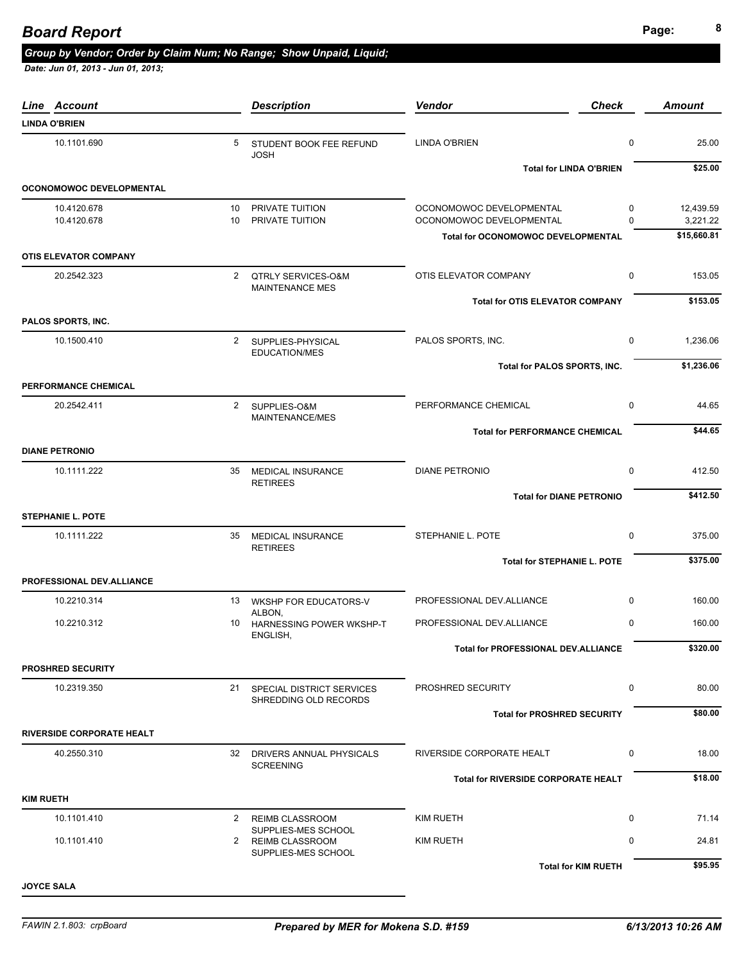#### **Page: <sup>8</sup>** *Board Report*

## *Group by Vendor; Order by Claim Num; No Range; Show Unpaid, Liquid;*

| Line Account                     |                        | <b>Description</b>                                    | Vendor                                               | <b>Check</b>            | <b>Amount</b>         |
|----------------------------------|------------------------|-------------------------------------------------------|------------------------------------------------------|-------------------------|-----------------------|
| <b>LINDA O'BRIEN</b>             |                        |                                                       |                                                      |                         |                       |
| 10.1101.690                      | 5                      | STUDENT BOOK FEE REFUND<br><b>JOSH</b>                | <b>LINDA O'BRIEN</b>                                 | $\mathbf 0$             | 25.00                 |
|                                  |                        |                                                       | <b>Total for LINDA O'BRIEN</b>                       |                         | \$25.00               |
| <b>OCONOMOWOC DEVELOPMENTAL</b>  |                        |                                                       |                                                      |                         |                       |
| 10.4120.678<br>10.4120.678       | 10 <sup>10</sup><br>10 | PRIVATE TUITION<br>PRIVATE TUITION                    | OCONOMOWOC DEVELOPMENTAL<br>OCONOMOWOC DEVELOPMENTAL | $\mathbf 0$<br>$\Omega$ | 12,439.59<br>3,221.22 |
|                                  |                        |                                                       | <b>Total for OCONOMOWOC DEVELOPMENTAL</b>            |                         | \$15,660.81           |
| <b>OTIS ELEVATOR COMPANY</b>     |                        |                                                       |                                                      |                         |                       |
| 20.2542.323                      |                        | 2 QTRLY SERVICES-O&M<br><b>MAINTENANCE MES</b>        | OTIS ELEVATOR COMPANY                                | 0                       | 153.05                |
|                                  |                        |                                                       | <b>Total for OTIS ELEVATOR COMPANY</b>               |                         | \$153.05              |
| PALOS SPORTS, INC.               |                        |                                                       |                                                      |                         |                       |
| 10.1500.410                      |                        | 2 SUPPLIES-PHYSICAL<br><b>EDUCATION/MES</b>           | PALOS SPORTS, INC.                                   | $\mathbf 0$             | 1,236.06              |
|                                  |                        |                                                       | Total for PALOS SPORTS, INC.                         |                         | \$1,236.06            |
| PERFORMANCE CHEMICAL             |                        |                                                       |                                                      |                         |                       |
| 20.2542.411                      | $\overline{2}$         | SUPPLIES-O&M<br>MAINTENANCE/MES                       | PERFORMANCE CHEMICAL                                 | $\mathbf 0$             | 44.65                 |
|                                  |                        |                                                       | <b>Total for PERFORMANCE CHEMICAL</b>                |                         | \$44.65               |
| <b>DIANE PETRONIO</b>            |                        |                                                       |                                                      |                         |                       |
| 10.1111.222                      | 35                     | <b>MEDICAL INSURANCE</b><br><b>RETIREES</b>           | <b>DIANE PETRONIO</b>                                | $\mathbf 0$             | 412.50                |
|                                  |                        |                                                       | <b>Total for DIANE PETRONIO</b>                      |                         | \$412.50              |
| <b>STEPHANIE L. POTE</b>         |                        |                                                       |                                                      |                         |                       |
| 10.1111.222                      | 35                     | <b>MEDICAL INSURANCE</b><br><b>RETIREES</b>           | STEPHANIE L. POTE                                    | $\mathbf 0$             | 375.00                |
|                                  |                        |                                                       | <b>Total for STEPHANIE L. POTE</b>                   |                         | \$375.00              |
| PROFESSIONAL DEV.ALLIANCE        |                        |                                                       |                                                      |                         |                       |
| 10.2210.314                      |                        | 13 WKSHP FOR EDUCATORS-V                              | PROFESSIONAL DEV.ALLIANCE                            | $\mathbf 0$             | 160.00                |
| 10.2210.312                      | 10                     | ALBON,<br>HARNESSING POWER WKSHP-T<br>ENGLISH,        | PROFESSIONAL DEV.ALLIANCE                            | 0                       | 160.00                |
|                                  |                        |                                                       | Total for PROFESSIONAL DEV.ALLIANCE                  |                         | \$320.00              |
| <b>PROSHRED SECURITY</b>         |                        |                                                       |                                                      |                         |                       |
| 10.2319.350                      |                        | 21 SPECIAL DISTRICT SERVICES<br>SHREDDING OLD RECORDS | PROSHRED SECURITY                                    | 0                       | 80.00                 |
|                                  |                        |                                                       | <b>Total for PROSHRED SECURITY</b>                   |                         | \$80.00               |
| <b>RIVERSIDE CORPORATE HEALT</b> |                        |                                                       |                                                      |                         |                       |
| 40.2550.310                      |                        | 32 DRIVERS ANNUAL PHYSICALS<br><b>SCREENING</b>       | RIVERSIDE CORPORATE HEALT                            | 0                       | 18.00                 |
|                                  |                        |                                                       | Total for RIVERSIDE CORPORATE HEALT                  |                         | \$18.00               |
| <b>KIM RUETH</b>                 |                        |                                                       |                                                      |                         |                       |
| 10.1101.410                      | 2                      | <b>REIMB CLASSROOM</b>                                | <b>KIM RUETH</b>                                     | $\mathbf 0$             | 71.14                 |
| 10.1101.410                      | 2                      | SUPPLIES-MES SCHOOL<br><b>REIMB CLASSROOM</b>         | KIM RUETH                                            | 0                       | 24.81                 |
|                                  |                        | SUPPLIES-MES SCHOOL                                   |                                                      |                         |                       |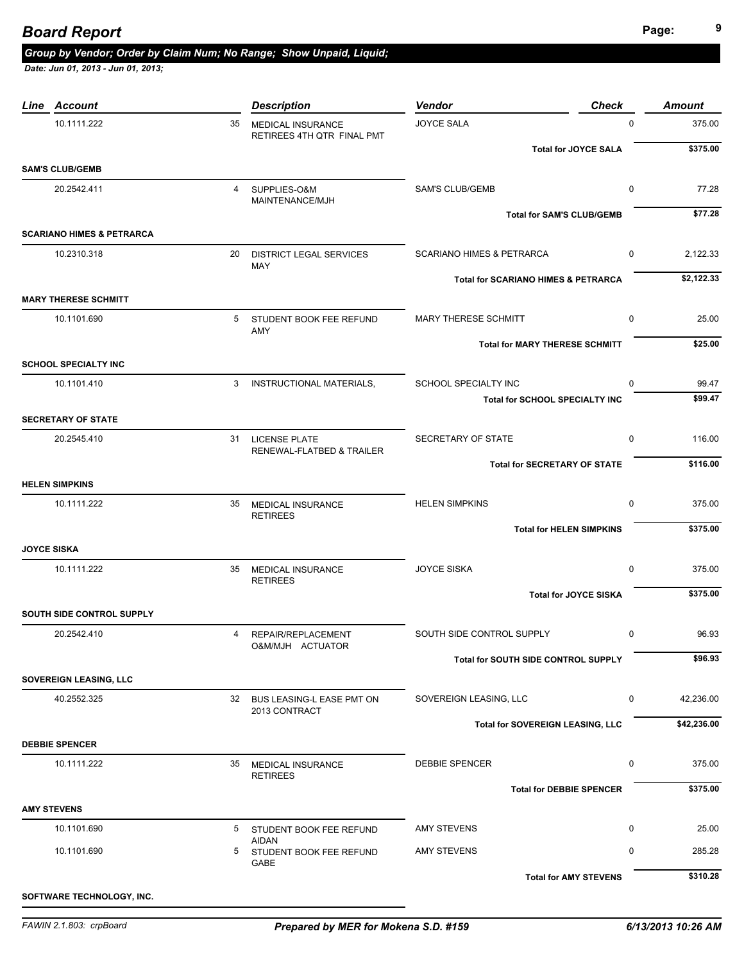| Line Account                          |    | <b>Description</b>                                     | <b>Vendor</b>                                  | <b>Check</b> | <b>Amount</b> |
|---------------------------------------|----|--------------------------------------------------------|------------------------------------------------|--------------|---------------|
| 10.1111.222                           | 35 | <b>MEDICAL INSURANCE</b><br>RETIREES 4TH QTR FINAL PMT | <b>JOYCE SALA</b>                              | $\mathbf 0$  | 375.00        |
|                                       |    |                                                        | <b>Total for JOYCE SALA</b>                    |              | \$375.00      |
| <b>SAM'S CLUB/GEMB</b><br>20.2542.411 | 4  | SUPPLIES-O&M                                           | <b>SAM'S CLUB/GEMB</b>                         | 0            | 77.28         |
|                                       |    | MAINTENANCE/MJH                                        |                                                |              | \$77.28       |
| <b>SCARIANO HIMES &amp; PETRARCA</b>  |    |                                                        | <b>Total for SAM'S CLUB/GEMB</b>               |              |               |
| 10.2310.318                           | 20 | <b>DISTRICT LEGAL SERVICES</b>                         | <b>SCARIANO HIMES &amp; PETRARCA</b>           | $\mathbf 0$  | 2,122.33      |
|                                       |    | <b>MAY</b>                                             | <b>Total for SCARIANO HIMES &amp; PETRARCA</b> |              | \$2,122.33    |
| <b>MARY THERESE SCHMITT</b>           |    |                                                        |                                                |              |               |
| 10.1101.690                           | 5  | STUDENT BOOK FEE REFUND<br>AMY                         | <b>MARY THERESE SCHMITT</b>                    | $\mathbf 0$  | 25.00         |
|                                       |    |                                                        | <b>Total for MARY THERESE SCHMITT</b>          |              | \$25.00       |
| <b>SCHOOL SPECIALTY INC</b>           |    |                                                        |                                                |              |               |
| 10.1101.410                           | 3  | INSTRUCTIONAL MATERIALS,                               | SCHOOL SPECIALTY INC                           | 0            | 99.47         |
| <b>SECRETARY OF STATE</b>             |    |                                                        | <b>Total for SCHOOL SPECIALTY INC</b>          |              | \$99.47       |
| 20.2545.410                           |    | 31 LICENSE PLATE                                       | <b>SECRETARY OF STATE</b>                      | 0            | 116.00        |
|                                       |    | RENEWAL-FLATBED & TRAILER                              | <b>Total for SECRETARY OF STATE</b>            |              | \$116.00      |
| <b>HELEN SIMPKINS</b>                 |    |                                                        |                                                |              |               |
| 10.1111.222                           |    | 35 MEDICAL INSURANCE                                   | <b>HELEN SIMPKINS</b>                          | 0            | 375.00        |
|                                       |    | <b>RETIREES</b>                                        | <b>Total for HELEN SIMPKINS</b>                |              | \$375.00      |
| <b>JOYCE SISKA</b>                    |    |                                                        |                                                |              |               |
| 10.1111.222                           |    | 35 MEDICAL INSURANCE<br><b>RETIREES</b>                | <b>JOYCE SISKA</b>                             | $\mathbf 0$  | 375.00        |
|                                       |    |                                                        | <b>Total for JOYCE SISKA</b>                   |              | \$375.00      |
| SOUTH SIDE CONTROL SUPPLY             |    |                                                        |                                                |              |               |
| 20.2542.410                           | 4  | REPAIR/REPLACEMENT<br>O&M/MJH ACTUATOR                 | SOUTH SIDE CONTROL SUPPLY                      | $\mathbf 0$  | 96.93         |
|                                       |    |                                                        | Total for SOUTH SIDE CONTROL SUPPLY            |              | \$96.93       |
| <b>SOVEREIGN LEASING, LLC</b>         |    |                                                        |                                                |              |               |
| 40.2552.325                           |    | 32 BUS LEASING-L EASE PMT ON<br>2013 CONTRACT          | SOVEREIGN LEASING, LLC                         | 0            | 42,236.00     |
|                                       |    |                                                        | Total for SOVEREIGN LEASING, LLC               |              | \$42,236.00   |
| <b>DEBBIE SPENCER</b>                 |    |                                                        |                                                |              |               |
| 10.1111.222                           |    | 35 MEDICAL INSURANCE<br><b>RETIREES</b>                | <b>DEBBIE SPENCER</b>                          | 0            | 375.00        |
|                                       |    |                                                        | <b>Total for DEBBIE SPENCER</b>                |              | \$375.00      |
| <b>AMY STEVENS</b>                    |    |                                                        |                                                |              |               |
| 10.1101.690                           |    | 5 STUDENT BOOK FEE REFUND<br><b>AIDAN</b>              | <b>AMY STEVENS</b>                             | 0            | 25.00         |
| 10.1101.690                           |    | 5 STUDENT BOOK FEE REFUND<br>GABE                      | <b>AMY STEVENS</b>                             | 0            | 285.28        |
|                                       |    |                                                        | <b>Total for AMY STEVENS</b>                   |              | \$310.28      |
| SOFTWARE TECHNOLOGY, INC.             |    |                                                        |                                                |              |               |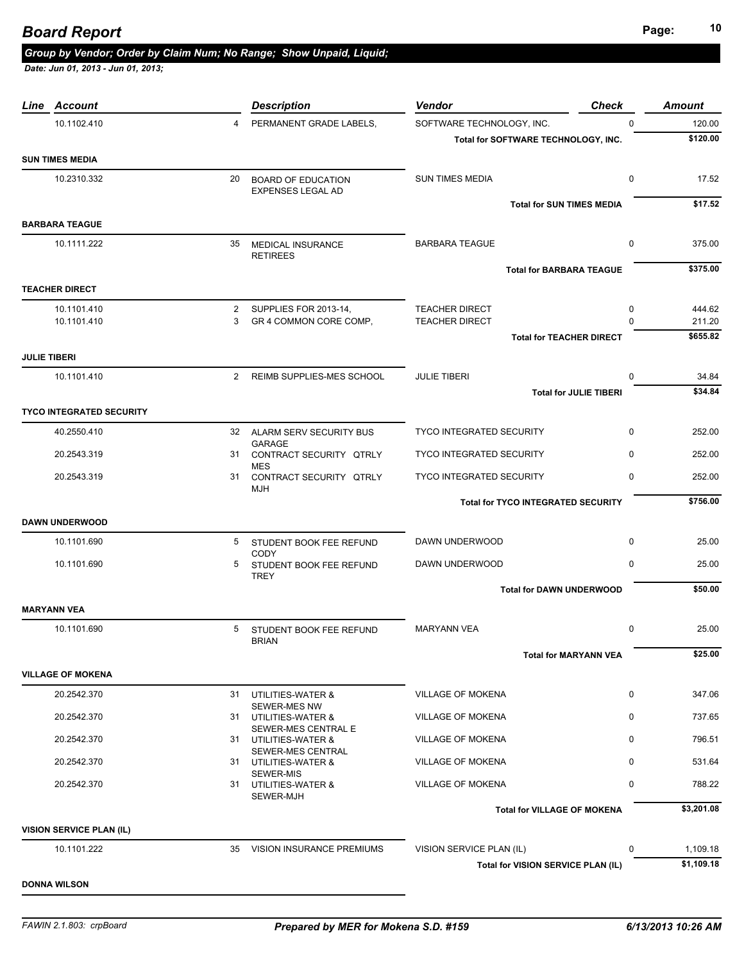| 10.1102.410              |                                                                                                                                                                                                                 |                              |                                                                                                                                                                                                                                                                                                                                                                                                                                                                                                                                         |                       | Amount                                                                                                                                                                                                                                                                                                    |
|--------------------------|-----------------------------------------------------------------------------------------------------------------------------------------------------------------------------------------------------------------|------------------------------|-----------------------------------------------------------------------------------------------------------------------------------------------------------------------------------------------------------------------------------------------------------------------------------------------------------------------------------------------------------------------------------------------------------------------------------------------------------------------------------------------------------------------------------------|-----------------------|-----------------------------------------------------------------------------------------------------------------------------------------------------------------------------------------------------------------------------------------------------------------------------------------------------------|
|                          | $\overline{4}$                                                                                                                                                                                                  | PERMANENT GRADE LABELS,      | SOFTWARE TECHNOLOGY, INC.                                                                                                                                                                                                                                                                                                                                                                                                                                                                                                               | $\mathbf 0$           | 120.00                                                                                                                                                                                                                                                                                                    |
|                          |                                                                                                                                                                                                                 |                              | Total for SOFTWARE TECHNOLOGY, INC.                                                                                                                                                                                                                                                                                                                                                                                                                                                                                                     |                       | \$120.00                                                                                                                                                                                                                                                                                                  |
|                          |                                                                                                                                                                                                                 |                              |                                                                                                                                                                                                                                                                                                                                                                                                                                                                                                                                         |                       |                                                                                                                                                                                                                                                                                                           |
| 10.2310.332              |                                                                                                                                                                                                                 | EXPENSES LEGAL AD            | <b>SUN TIMES MEDIA</b>                                                                                                                                                                                                                                                                                                                                                                                                                                                                                                                  | 0                     | 17.52                                                                                                                                                                                                                                                                                                     |
|                          |                                                                                                                                                                                                                 |                              |                                                                                                                                                                                                                                                                                                                                                                                                                                                                                                                                         |                       | \$17.52                                                                                                                                                                                                                                                                                                   |
|                          |                                                                                                                                                                                                                 |                              |                                                                                                                                                                                                                                                                                                                                                                                                                                                                                                                                         |                       |                                                                                                                                                                                                                                                                                                           |
| 10.1111.222              |                                                                                                                                                                                                                 | <b>RETIREES</b>              | <b>BARBARA TEAGUE</b>                                                                                                                                                                                                                                                                                                                                                                                                                                                                                                                   | 0                     | 375.00                                                                                                                                                                                                                                                                                                    |
|                          |                                                                                                                                                                                                                 |                              |                                                                                                                                                                                                                                                                                                                                                                                                                                                                                                                                         |                       | \$375.00                                                                                                                                                                                                                                                                                                  |
|                          |                                                                                                                                                                                                                 |                              |                                                                                                                                                                                                                                                                                                                                                                                                                                                                                                                                         |                       |                                                                                                                                                                                                                                                                                                           |
| 10.1101.410              |                                                                                                                                                                                                                 |                              | <b>TEACHER DIRECT</b>                                                                                                                                                                                                                                                                                                                                                                                                                                                                                                                   | 0                     | 444.62                                                                                                                                                                                                                                                                                                    |
|                          |                                                                                                                                                                                                                 |                              |                                                                                                                                                                                                                                                                                                                                                                                                                                                                                                                                         |                       | 211.20                                                                                                                                                                                                                                                                                                    |
|                          |                                                                                                                                                                                                                 |                              |                                                                                                                                                                                                                                                                                                                                                                                                                                                                                                                                         |                       | \$655.82                                                                                                                                                                                                                                                                                                  |
|                          |                                                                                                                                                                                                                 |                              |                                                                                                                                                                                                                                                                                                                                                                                                                                                                                                                                         |                       |                                                                                                                                                                                                                                                                                                           |
|                          |                                                                                                                                                                                                                 |                              | <b>JULIE TIBERI</b>                                                                                                                                                                                                                                                                                                                                                                                                                                                                                                                     | 0                     | 34.84                                                                                                                                                                                                                                                                                                     |
|                          |                                                                                                                                                                                                                 |                              |                                                                                                                                                                                                                                                                                                                                                                                                                                                                                                                                         |                       | \$34.84                                                                                                                                                                                                                                                                                                   |
|                          |                                                                                                                                                                                                                 |                              |                                                                                                                                                                                                                                                                                                                                                                                                                                                                                                                                         |                       |                                                                                                                                                                                                                                                                                                           |
| 40.2550.410              |                                                                                                                                                                                                                 | <b>GARAGE</b>                | <b>TYCO INTEGRATED SECURITY</b>                                                                                                                                                                                                                                                                                                                                                                                                                                                                                                         | $\mathbf 0$           | 252.00                                                                                                                                                                                                                                                                                                    |
| 20.2543.319              |                                                                                                                                                                                                                 |                              | TYCO INTEGRATED SECURITY                                                                                                                                                                                                                                                                                                                                                                                                                                                                                                                | 0                     | 252.00                                                                                                                                                                                                                                                                                                    |
| 20.2543.319              |                                                                                                                                                                                                                 | <b>MJH</b>                   | TYCO INTEGRATED SECURITY                                                                                                                                                                                                                                                                                                                                                                                                                                                                                                                | 0                     | 252.00                                                                                                                                                                                                                                                                                                    |
|                          |                                                                                                                                                                                                                 |                              |                                                                                                                                                                                                                                                                                                                                                                                                                                                                                                                                         |                       | \$756.00                                                                                                                                                                                                                                                                                                  |
|                          |                                                                                                                                                                                                                 |                              |                                                                                                                                                                                                                                                                                                                                                                                                                                                                                                                                         |                       |                                                                                                                                                                                                                                                                                                           |
| 10.1101.690              |                                                                                                                                                                                                                 |                              | DAWN UNDERWOOD                                                                                                                                                                                                                                                                                                                                                                                                                                                                                                                          | $\mathbf 0$           | 25.00                                                                                                                                                                                                                                                                                                     |
| 10.1101.690              |                                                                                                                                                                                                                 | <b>TREY</b>                  | DAWN UNDERWOOD                                                                                                                                                                                                                                                                                                                                                                                                                                                                                                                          | 0                     | 25.00                                                                                                                                                                                                                                                                                                     |
|                          |                                                                                                                                                                                                                 |                              |                                                                                                                                                                                                                                                                                                                                                                                                                                                                                                                                         |                       | \$50.00                                                                                                                                                                                                                                                                                                   |
|                          |                                                                                                                                                                                                                 |                              |                                                                                                                                                                                                                                                                                                                                                                                                                                                                                                                                         |                       |                                                                                                                                                                                                                                                                                                           |
| 10.1101.690              |                                                                                                                                                                                                                 | <b>BRIAN</b>                 | <b>MARYANN VEA</b>                                                                                                                                                                                                                                                                                                                                                                                                                                                                                                                      | 0                     | 25.00                                                                                                                                                                                                                                                                                                     |
|                          |                                                                                                                                                                                                                 |                              |                                                                                                                                                                                                                                                                                                                                                                                                                                                                                                                                         |                       | \$25.00                                                                                                                                                                                                                                                                                                   |
|                          |                                                                                                                                                                                                                 |                              |                                                                                                                                                                                                                                                                                                                                                                                                                                                                                                                                         |                       |                                                                                                                                                                                                                                                                                                           |
| 20.2542.370              |                                                                                                                                                                                                                 |                              | <b>VILLAGE OF MOKENA</b>                                                                                                                                                                                                                                                                                                                                                                                                                                                                                                                | $\mathbf 0$           | 347.06                                                                                                                                                                                                                                                                                                    |
| 20.2542.370              |                                                                                                                                                                                                                 | SEWER-MES NW                 | <b>VILLAGE OF MOKENA</b>                                                                                                                                                                                                                                                                                                                                                                                                                                                                                                                | 0                     | 737.65                                                                                                                                                                                                                                                                                                    |
| 20.2542.370              |                                                                                                                                                                                                                 |                              | <b>VILLAGE OF MOKENA</b>                                                                                                                                                                                                                                                                                                                                                                                                                                                                                                                | 0                     | 796.51                                                                                                                                                                                                                                                                                                    |
| 20.2542.370              |                                                                                                                                                                                                                 |                              | <b>VILLAGE OF MOKENA</b>                                                                                                                                                                                                                                                                                                                                                                                                                                                                                                                | 0                     | 531.64                                                                                                                                                                                                                                                                                                    |
| 20.2542.370              |                                                                                                                                                                                                                 | SEWER-MJH                    | <b>VILLAGE OF MOKENA</b>                                                                                                                                                                                                                                                                                                                                                                                                                                                                                                                | 0                     | 788.22                                                                                                                                                                                                                                                                                                    |
|                          |                                                                                                                                                                                                                 |                              |                                                                                                                                                                                                                                                                                                                                                                                                                                                                                                                                         |                       | \$3,201.08                                                                                                                                                                                                                                                                                                |
| VISION SERVICE PLAN (IL) |                                                                                                                                                                                                                 |                              |                                                                                                                                                                                                                                                                                                                                                                                                                                                                                                                                         |                       |                                                                                                                                                                                                                                                                                                           |
|                          |                                                                                                                                                                                                                 |                              |                                                                                                                                                                                                                                                                                                                                                                                                                                                                                                                                         |                       |                                                                                                                                                                                                                                                                                                           |
| 10.1101.222              |                                                                                                                                                                                                                 | 35 VISION INSURANCE PREMIUMS | VISION SERVICE PLAN (IL)                                                                                                                                                                                                                                                                                                                                                                                                                                                                                                                | $\mathbf 0$           | 1,109.18                                                                                                                                                                                                                                                                                                  |
|                          | SUN TIMES MEDIA<br><b>BARBARA TEAGUE</b><br><b>TEACHER DIRECT</b><br>10.1101.410<br><b>JULIE TIBERI</b><br>10.1101.410<br><b>TYCO INTEGRATED SECURITY</b><br>DAWN UNDERWOOD<br>MARYANN VEA<br>VILLAGE OF MOKENA | 3                            | 20 BOARD OF EDUCATION<br>35 MEDICAL INSURANCE<br>2 SUPPLIES FOR 2013-14,<br>GR 4 COMMON CORE COMP,<br>2 REIMB SUPPLIES-MES SCHOOL<br>32 ALARM SERV SECURITY BUS<br>31 CONTRACT SECURITY QTRLY<br><b>MES</b><br>31 CONTRACT SECURITY QTRLY<br>5 STUDENT BOOK FEE REFUND<br><b>CODY</b><br>5 STUDENT BOOK FEE REFUND<br>5 STUDENT BOOK FEE REFUND<br>31 UTILITIES-WATER &<br>31 UTILITIES-WATER &<br>SEWER-MES CENTRAL E<br>31 UTILITIES-WATER &<br>SEWER-MES CENTRAL<br>31 UTILITIES-WATER &<br><b>SEWER-MIS</b><br>31 UTILITIES-WATER & | <b>TEACHER DIRECT</b> | <b>Total for SUN TIMES MEDIA</b><br><b>Total for BARBARA TEAGUE</b><br>$\Omega$<br><b>Total for TEACHER DIRECT</b><br><b>Total for JULIE TIBERI</b><br><b>Total for TYCO INTEGRATED SECURITY</b><br><b>Total for DAWN UNDERWOOD</b><br><b>Total for MARYANN VEA</b><br><b>Total for VILLAGE OF MOKENA</b> |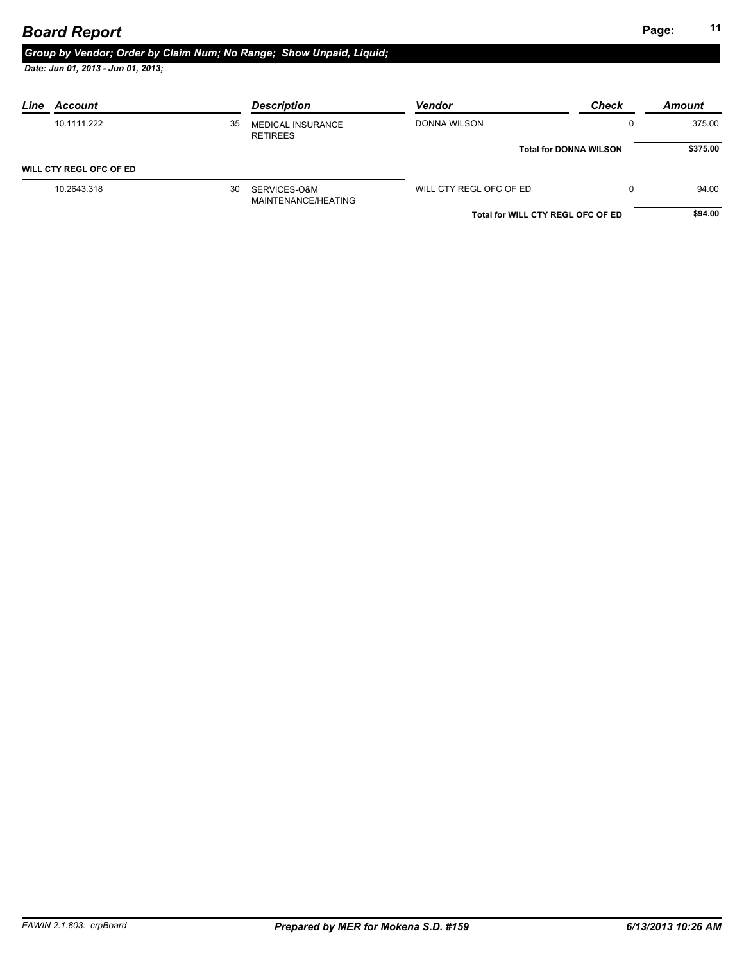# **Page: <sup>11</sup>** *Board Report*

# *Group by Vendor; Order by Claim Num; No Range; Show Unpaid, Liquid;*

| Account<br>Line         |    | <b>Description</b>                          | <b>Vendor</b>                     | <b>Check</b>                  | Amount   |
|-------------------------|----|---------------------------------------------|-----------------------------------|-------------------------------|----------|
| 10.1111.222             | 35 | <b>MEDICAL INSURANCE</b><br><b>RETIREES</b> | DONNA WILSON                      |                               | 375.00   |
|                         |    |                                             |                                   | <b>Total for DONNA WILSON</b> | \$375.00 |
| WILL CTY REGL OFC OF ED |    |                                             |                                   |                               |          |
| 10.2643.318             | 30 | SERVICES-O&M<br>MAINTENANCE/HEATING         | WILL CTY REGL OFC OF ED           |                               | 94.00    |
|                         |    |                                             | Total for WILL CTY REGL OFC OF ED |                               | \$94.00  |